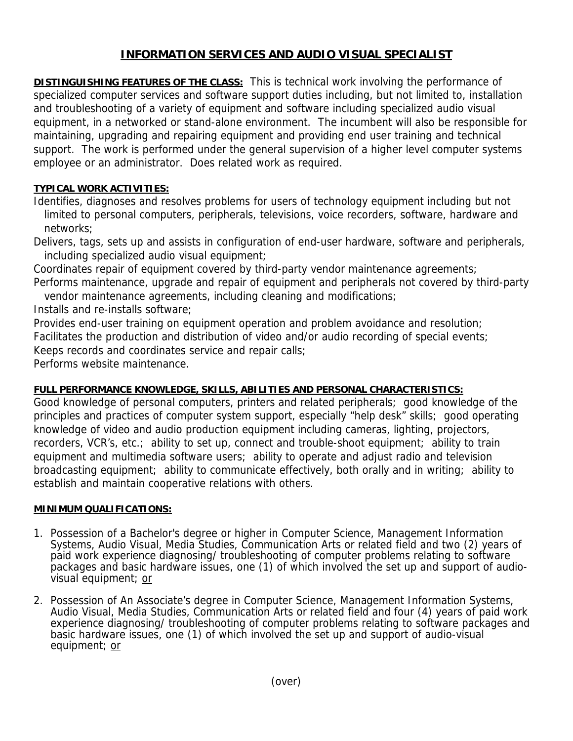## **INFORMATION SERVICES AND AUDIO VISUAL SPECIALIST**

**DISTINGUISHING FEATURES OF THE CLASS:** This is technical work involving the performance of specialized computer services and software support duties including, but not limited to, installation and troubleshooting of a variety of equipment and software including specialized audio visual equipment, in a networked or stand-alone environment. The incumbent will also be responsible for maintaining, upgrading and repairing equipment and providing end user training and technical support. The work is performed under the general supervision of a higher level computer systems employee or an administrator. Does related work as required.

## **TYPICAL WORK ACTIVITIES:**

Identifies, diagnoses and resolves problems for users of technology equipment including but not limited to personal computers, peripherals, televisions, voice recorders, software, hardware and networks;

Delivers, tags, sets up and assists in configuration of end-user hardware, software and peripherals, including specialized audio visual equipment;

Coordinates repair of equipment covered by third-party vendor maintenance agreements;

Performs maintenance, upgrade and repair of equipment and peripherals not covered by third-party vendor maintenance agreements, including cleaning and modifications;

Installs and re-installs software;

Provides end-user training on equipment operation and problem avoidance and resolution;

Facilitates the production and distribution of video and/or audio recording of special events;

Keeps records and coordinates service and repair calls;

Performs website maintenance.

## **FULL PERFORMANCE KNOWLEDGE, SKILLS, ABILITIES AND PERSONAL CHARACTERISTICS:**

Good knowledge of personal computers, printers and related peripherals; good knowledge of the principles and practices of computer system support, especially "help desk" skills; good operating knowledge of video and audio production equipment including cameras, lighting, projectors, recorders, VCR's, etc.; ability to set up, connect and trouble-shoot equipment; ability to train equipment and multimedia software users; ability to operate and adjust radio and television broadcasting equipment; ability to communicate effectively, both orally and in writing; ability to establish and maintain cooperative relations with others.

## **MINIMUM QUALIFICATIONS:**

- 1. Possession of a Bachelor's degree or higher in Computer Science, Management Information Systems, Audio Visual, Media Studies, Communication Arts or related field and two (2) years of paid work experience diagnosing/ troubleshooting of computer problems relating to software packages and basic hardware issues, one (1) of which involved the set up and support of audiovisual equipment; or
- 2. Possession of An Associate's degree in Computer Science, Management Information Systems, Audio Visual, Media Studies, Communication Arts or related field and four (4) years of paid work experience diagnosing/ troubleshooting of computer problems relating to software packages and basic hardware issues, one (1) of which involved the set up and support of audio-visual equipment; or